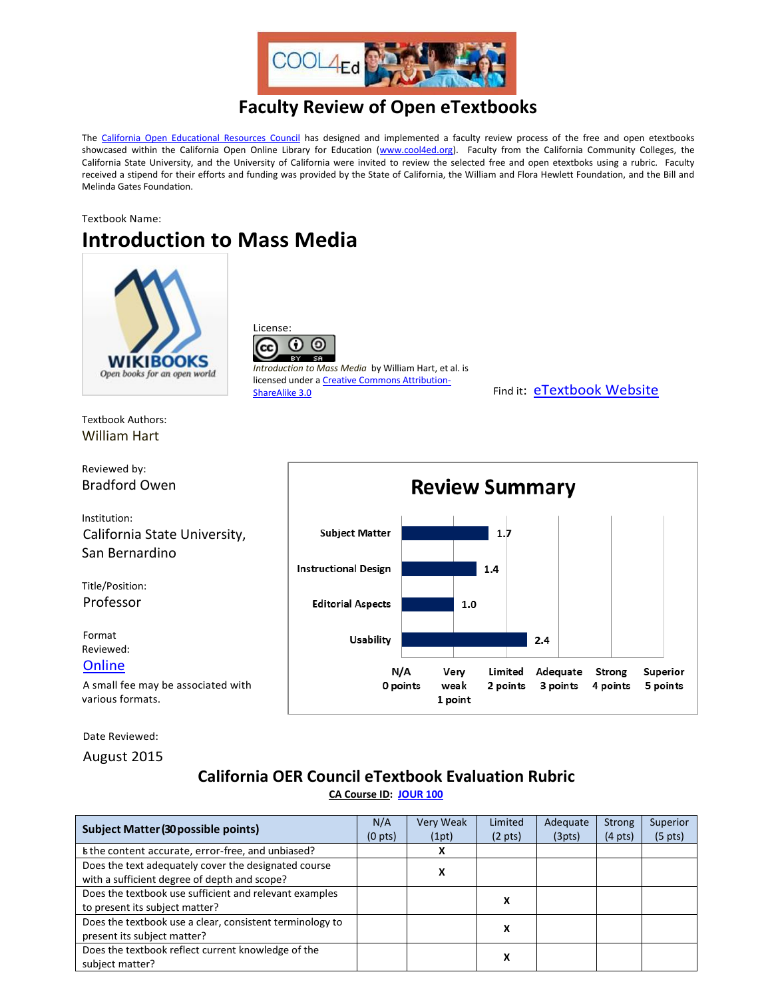

## **Faculty Review of Open eTextbooks**

The [California Open Educational Resources Council](http://icas-ca.org/coerc) has designed and implemented a faculty review process of the free and open etextbooks showcased within the California Open Online Library for Education [\(www.cool4ed.org\)](http://www.cool4ed.org/). Faculty from the California Community Colleges, the California State University, and the University of California were invited to review the selected free and open etextboks using a rubric. Faculty received a stipend for their efforts and funding was provided by the State of California, the William and Flora Hewlett Foundation, and the Bill and Melinda Gates Foundation.

Textbook Name:

## **Introduction to Mass Media**



License: 0 Ю (cc

*Introduction to Mass Media* by William Hart, et al. is licensed under [a Creative Commons Attribution-](https://creativecommons.org/licenses/by-sa/3.0/)[ShareAlike 3.0](https://creativecommons.org/licenses/by-sa/3.0/) Find it: [eTextbook Website](https://en.wikibooks.org/wiki/Introduction_to_Mass_Media)

Textbook Authors: William Hart

Reviewed by: Bradford Owen

Institution: California State University, San Bernardino

Title/Position: Professor

Format Reviewed: **[Online](https://en.wikibooks.org/wiki/Introduction_to_Mass_Media)** 

A small fee may be associated with various formats.

Date Reviewed:

August 2015

## **California OER Council eTextbook Evaluation Rubric [CA Course ID:](https://c-id.net/about.html) [JOUR 100](https://c-id.net/descriptor_details.html?descriptor=374&submitbtn=Go)**

| <b>Subject Matter (30 possible points)</b>                                                           | N/A<br>$(0 \text{ pts})$ | Very Weak<br>(1pt) | Limited<br>$(2 \text{ pts})$ | Adequate<br>(3pts) | <b>Strong</b><br>$(4 \text{ pts})$ | Superior<br>$(5 \text{ pts})$ |
|------------------------------------------------------------------------------------------------------|--------------------------|--------------------|------------------------------|--------------------|------------------------------------|-------------------------------|
| Is the content accurate, error-free, and unbiased?                                                   |                          |                    |                              |                    |                                    |                               |
| Does the text adequately cover the designated course<br>with a sufficient degree of depth and scope? |                          | л                  |                              |                    |                                    |                               |
| Does the textbook use sufficient and relevant examples<br>to present its subject matter?             |                          |                    | x                            |                    |                                    |                               |
| Does the textbook use a clear, consistent terminology to<br>present its subject matter?              |                          |                    | х                            |                    |                                    |                               |
| Does the textbook reflect current knowledge of the<br>subject matter?                                |                          |                    | x                            |                    |                                    |                               |

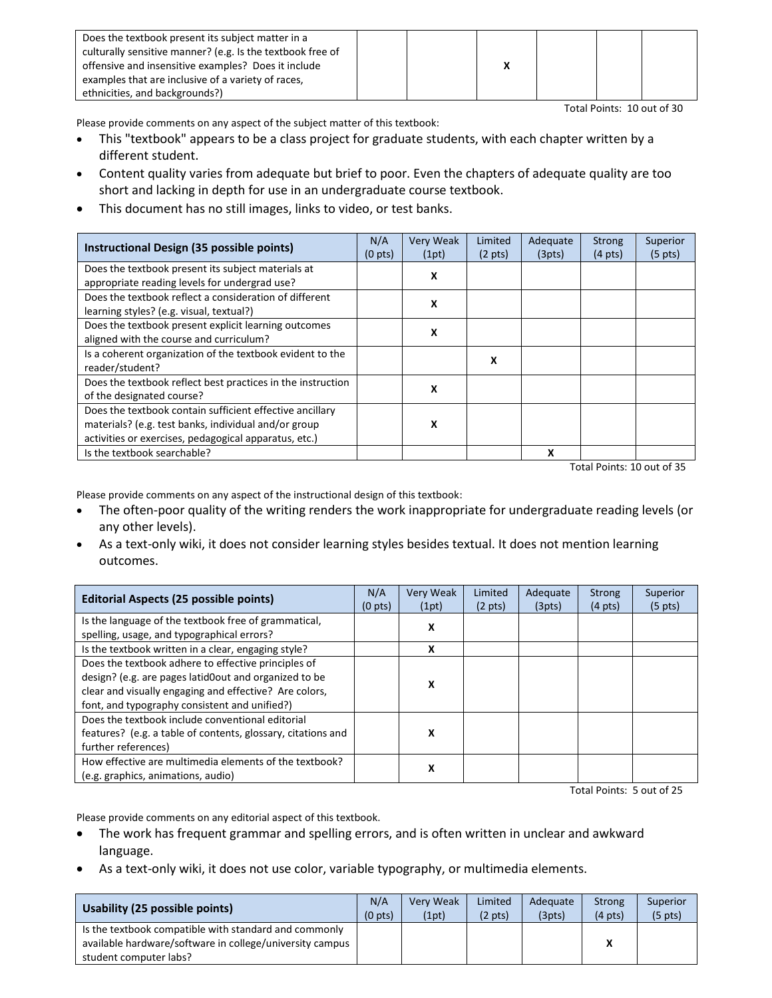| Does the textbook present its subject matter in a          |  |  |  |
|------------------------------------------------------------|--|--|--|
| culturally sensitive manner? (e.g. Is the textbook free of |  |  |  |
| offensive and insensitive examples? Does it include        |  |  |  |
| examples that are inclusive of a variety of races,         |  |  |  |
| ethnicities, and backgrounds?)                             |  |  |  |

Total Points: 10 out of 30

Please provide comments on any aspect of the subject matter of this textbook:

- This "textbook" appears to be a class project for graduate students, with each chapter written by a different student.
- Content quality varies from adequate but brief to poor. Even the chapters of adequate quality are too short and lacking in depth for use in an undergraduate course textbook.
- This document has no still images, links to video, or test banks.

| Instructional Design (35 possible points)                                                                                                                                 | N/A<br>$(0 \text{ pts})$ | Very Weak<br>(1pt) | Limited<br>$(2 \text{ pts})$ | Adequate<br>(3pts) | <b>Strong</b><br>$(4 \text{ pts})$ | Superior<br>$(5 \text{ pts})$ |
|---------------------------------------------------------------------------------------------------------------------------------------------------------------------------|--------------------------|--------------------|------------------------------|--------------------|------------------------------------|-------------------------------|
| Does the textbook present its subject materials at<br>appropriate reading levels for undergrad use?                                                                       |                          | X                  |                              |                    |                                    |                               |
| Does the textbook reflect a consideration of different<br>learning styles? (e.g. visual, textual?)                                                                        |                          | x                  |                              |                    |                                    |                               |
| Does the textbook present explicit learning outcomes<br>aligned with the course and curriculum?                                                                           |                          | x                  |                              |                    |                                    |                               |
| Is a coherent organization of the textbook evident to the<br>reader/student?                                                                                              |                          |                    | x                            |                    |                                    |                               |
| Does the textbook reflect best practices in the instruction<br>of the designated course?                                                                                  |                          | x                  |                              |                    |                                    |                               |
| Does the textbook contain sufficient effective ancillary<br>materials? (e.g. test banks, individual and/or group<br>activities or exercises, pedagogical apparatus, etc.) |                          | x                  |                              |                    |                                    |                               |
| Is the textbook searchable?                                                                                                                                               |                          |                    |                              | x                  |                                    |                               |

Total Points: 10 out of 35

Please provide comments on any aspect of the instructional design of this textbook:

- The often-poor quality of the writing renders the work inappropriate for undergraduate reading levels (or any other levels).
- As a text-only wiki, it does not consider learning styles besides textual. It does not mention learning outcomes.

| <b>Editorial Aspects (25 possible points)</b>                                                                                                                                                                           | N/A<br>$(0 \text{ pts})$ | Very Weak<br>(1pt) | Limited<br>$(2 \text{ pts})$ | Adequate<br>(3pts) | <b>Strong</b><br>$(4 \text{ pts})$ | Superior<br>$(5 \text{ pts})$ |
|-------------------------------------------------------------------------------------------------------------------------------------------------------------------------------------------------------------------------|--------------------------|--------------------|------------------------------|--------------------|------------------------------------|-------------------------------|
| Is the language of the textbook free of grammatical,<br>spelling, usage, and typographical errors?                                                                                                                      |                          | x                  |                              |                    |                                    |                               |
| Is the textbook written in a clear, engaging style?                                                                                                                                                                     |                          | x                  |                              |                    |                                    |                               |
| Does the textbook adhere to effective principles of<br>design? (e.g. are pages latid0out and organized to be<br>clear and visually engaging and effective? Are colors,<br>font, and typography consistent and unified?) |                          | x                  |                              |                    |                                    |                               |
| Does the textbook include conventional editorial<br>features? (e.g. a table of contents, glossary, citations and<br>further references)                                                                                 |                          | x                  |                              |                    |                                    |                               |
| How effective are multimedia elements of the textbook?<br>(e.g. graphics, animations, audio)                                                                                                                            |                          | X                  |                              |                    |                                    |                               |

Total Points: 5 out of 25

Please provide comments on any editorial aspect of this textbook.

- The work has frequent grammar and spelling errors, and is often written in unclear and awkward language.
- As a text-only wiki, it does not use color, variable typography, or multimedia elements.

| Usability (25 possible points)                           |  | <b>Very Weak</b> | Limited           | Adequate | Strong            | Superior          |
|----------------------------------------------------------|--|------------------|-------------------|----------|-------------------|-------------------|
|                                                          |  | (1pt)            | $(2 \text{ pts})$ | (3pts)   | $(4 \text{ pts})$ | $(5 \text{ pts})$ |
| Is the textbook compatible with standard and commonly    |  |                  |                   |          |                   |                   |
| available hardware/software in college/university campus |  |                  |                   |          | v                 |                   |
| student computer labs?                                   |  |                  |                   |          |                   |                   |